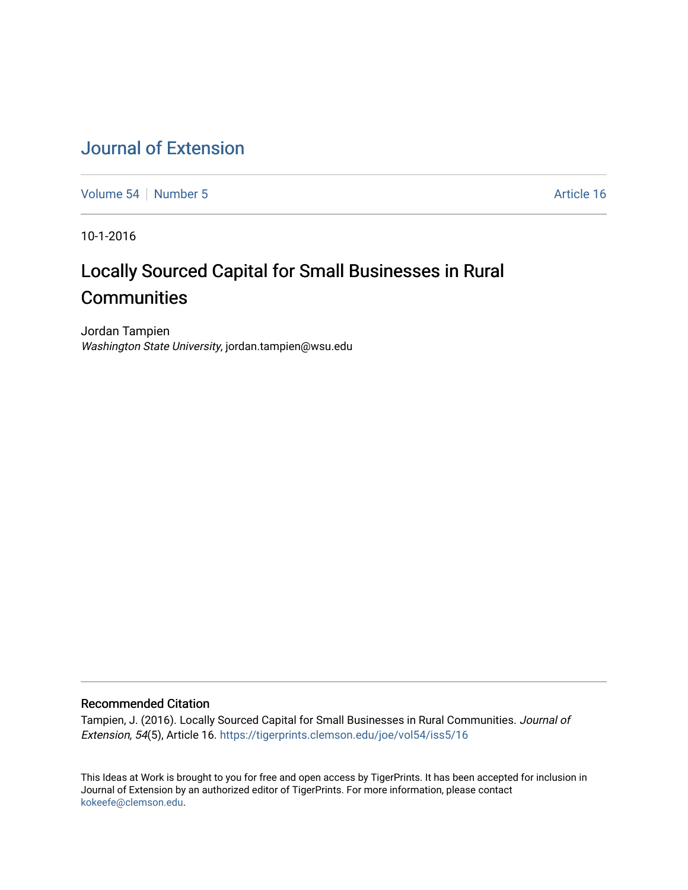# [Journal of Extension](https://tigerprints.clemson.edu/joe)

[Volume 54](https://tigerprints.clemson.edu/joe/vol54) [Number 5](https://tigerprints.clemson.edu/joe/vol54/iss5) Article 16

10-1-2016

# Locally Sourced Capital for Small Businesses in Rural **Communities**

Jordan Tampien Washington State University, jordan.tampien@wsu.edu

#### Recommended Citation

Tampien, J. (2016). Locally Sourced Capital for Small Businesses in Rural Communities. Journal of Extension, 54(5), Article 16. <https://tigerprints.clemson.edu/joe/vol54/iss5/16>

This Ideas at Work is brought to you for free and open access by TigerPrints. It has been accepted for inclusion in Journal of Extension by an authorized editor of TigerPrints. For more information, please contact [kokeefe@clemson.edu](mailto:kokeefe@clemson.edu).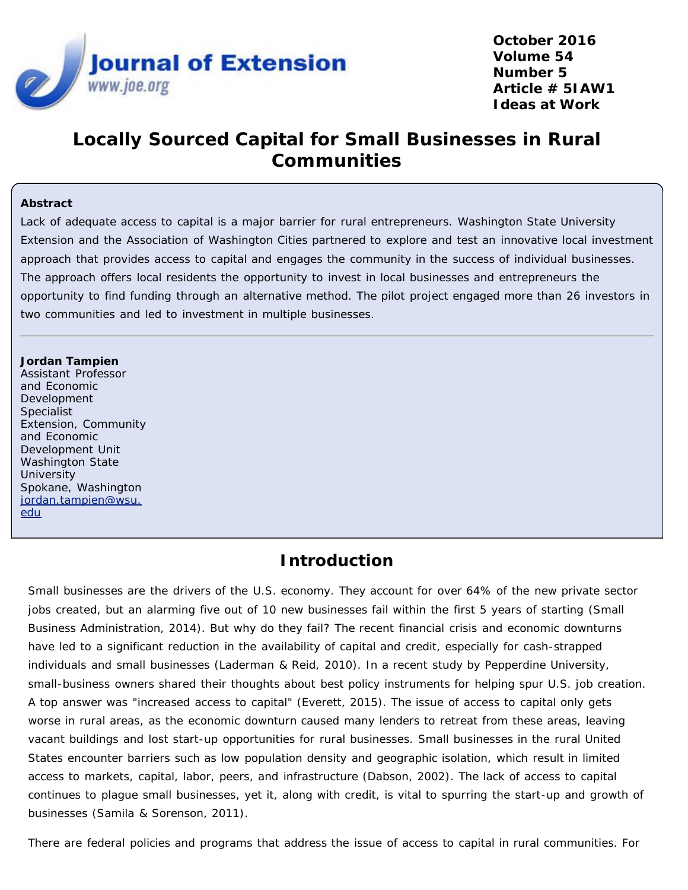

**October 2016 Volume 54 Number 5 Article # 5IAW1 Ideas at Work**

# **Locally Sourced Capital for Small Businesses in Rural Communities**

#### **Abstract**

Lack of adequate access to capital is a major barrier for rural entrepreneurs. Washington State University Extension and the Association of Washington Cities partnered to explore and test an innovative local investment approach that provides access to capital and engages the community in the success of individual businesses. The approach offers local residents the opportunity to invest in local businesses and entrepreneurs the opportunity to find funding through an alternative method. The pilot project engaged more than 26 investors in two communities and led to investment in multiple businesses.

#### **Jordan Tampien**

Assistant Professor and Economic Development Specialist Extension, Community and Economic Development Unit Washington State **University** Spokane, Washington [jordan.tampien@wsu.](mailto:jordan.tampien@wsu.edu) [edu](mailto:jordan.tampien@wsu.edu)

## **Introduction**

Small businesses are the drivers of the U.S. economy. They account for over 64% of the new private sector jobs created, but an alarming five out of 10 new businesses fail within the first 5 years of starting (Small Business Administration, 2014). But why do they fail? The recent financial crisis and economic downturns have led to a significant reduction in the availability of capital and credit, especially for cash-strapped individuals and small businesses (Laderman & Reid, 2010). In a recent study by Pepperdine University, small-business owners shared their thoughts about best policy instruments for helping spur U.S. job creation. A top answer was "increased access to capital" (Everett, 2015). The issue of access to capital only gets worse in rural areas, as the economic downturn caused many lenders to retreat from these areas, leaving vacant buildings and lost start-up opportunities for rural businesses. Small businesses in the rural United States encounter barriers such as low population density and geographic isolation, which result in limited access to markets, capital, labor, peers, and infrastructure (Dabson, 2002). The lack of access to capital continues to plague small businesses, yet it, along with credit, is vital to spurring the start-up and growth of businesses (Samila & Sorenson, 2011).

There are federal policies and programs that address the issue of access to capital in rural communities. For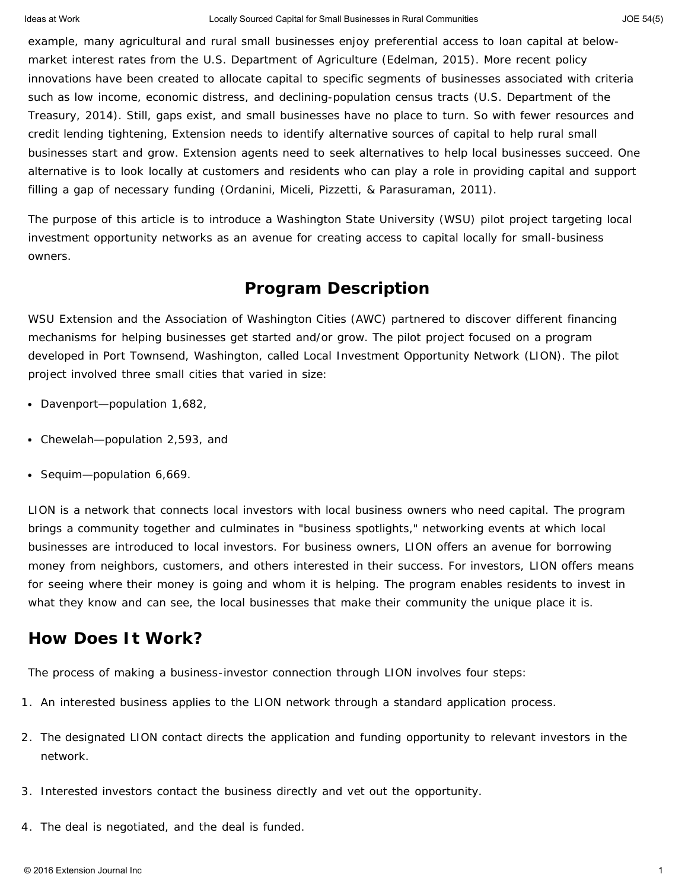example, many agricultural and rural small businesses enjoy preferential access to loan capital at belowmarket interest rates from the U.S. Department of Agriculture (Edelman, 2015). More recent policy innovations have been created to allocate capital to specific segments of businesses associated with criteria such as low income, economic distress, and declining-population census tracts (U.S. Department of the Treasury, 2014). Still, gaps exist, and small businesses have no place to turn. So with fewer resources and credit lending tightening, Extension needs to identify alternative sources of capital to help rural small businesses start and grow. Extension agents need to seek alternatives to help local businesses succeed. One alternative is to look locally at customers and residents who can play a role in providing capital and support filling a gap of necessary funding (Ordanini, Miceli, Pizzetti, & Parasuraman, 2011).

The purpose of this article is to introduce a Washington State University (WSU) pilot project targeting local investment opportunity networks as an avenue for creating access to capital locally for small-business owners.

#### **Program Description**

WSU Extension and the Association of Washington Cities (AWC) partnered to discover different financing mechanisms for helping businesses get started and/or grow. The pilot project focused on a program developed in Port Townsend, Washington, called Local Investment Opportunity Network (LION). The pilot project involved three small cities that varied in size:

- Davenport—population 1,682,
- Chewelah—population 2,593, and
- Sequim-population 6,669.

LION is a network that connects local investors with local business owners who need capital. The program brings a community together and culminates in "business spotlights," networking events at which local businesses are introduced to local investors. For business owners, LION offers an avenue for borrowing money from neighbors, customers, and others interested in their success. For investors, LION offers means for seeing where their money is going and whom it is helping. The program enables residents to invest in what they know and can see, the local businesses that make their community the unique place it is.

#### **How Does It Work?**

The process of making a business-investor connection through LION involves four steps:

- 1. An interested business applies to the LION network through a standard application process.
- 2. The designated LION contact directs the application and funding opportunity to relevant investors in the network.
- 3. Interested investors contact the business directly and vet out the opportunity.
- 4. The deal is negotiated, and the deal is funded.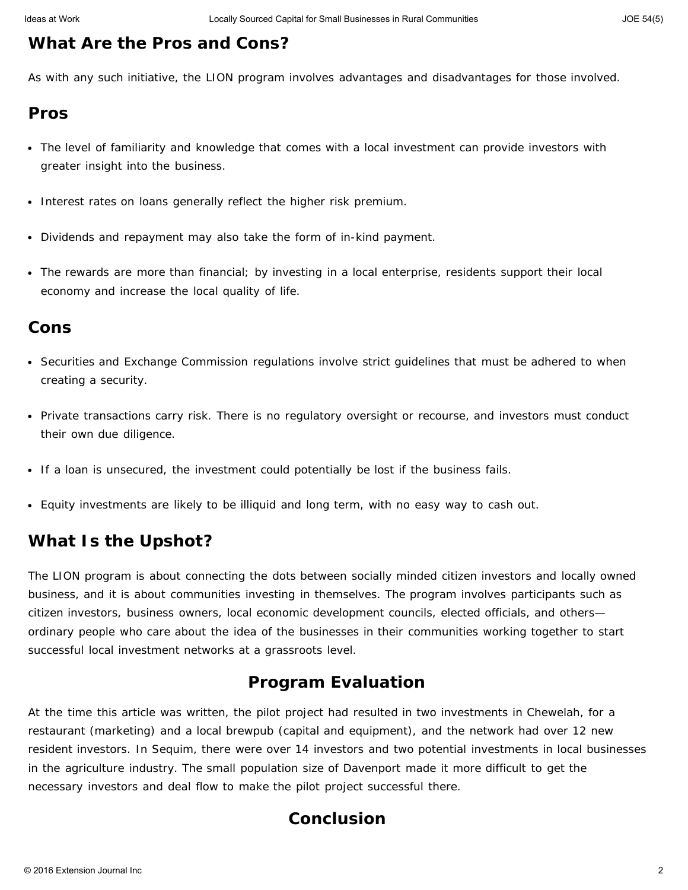### **What Are the Pros and Cons?**

As with any such initiative, the LION program involves advantages and disadvantages for those involved.

#### *Pros*

- The level of familiarity and knowledge that comes with a local investment can provide investors with greater insight into the business.
- Interest rates on loans generally reflect the higher risk premium.
- Dividends and repayment may also take the form of in-kind payment.
- The rewards are more than financial; by investing in a local enterprise, residents support their local economy and increase the local quality of life.

### *Cons*

- Securities and Exchange Commission regulations involve strict guidelines that must be adhered to when creating a security.
- Private transactions carry risk. There is no regulatory oversight or recourse, and investors must conduct their own due diligence.
- If a loan is unsecured, the investment could potentially be lost if the business fails.
- Equity investments are likely to be illiquid and long term, with no easy way to cash out.

## **What Is the Upshot?**

The LION program is about connecting the dots between socially minded citizen investors and locally owned business, and it is about communities investing in themselves. The program involves participants such as citizen investors, business owners, local economic development councils, elected officials, and others ordinary people who care about the idea of the businesses in their communities working together to start successful local investment networks at a grassroots level.

## **Program Evaluation**

At the time this article was written, the pilot project had resulted in two investments in Chewelah, for a restaurant (marketing) and a local brewpub (capital and equipment), and the network had over 12 new resident investors. In Sequim, there were over 14 investors and two potential investments in local businesses in the agriculture industry. The small population size of Davenport made it more difficult to get the necessary investors and deal flow to make the pilot project successful there.

### **Conclusion**